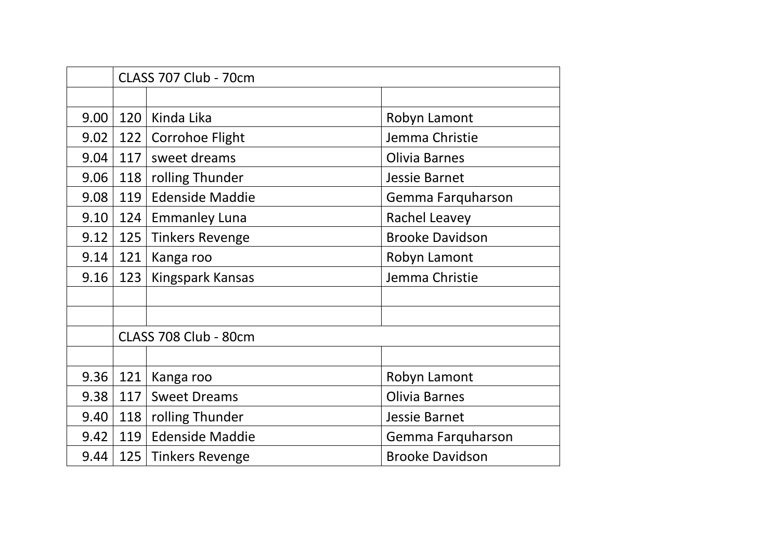|      | CLASS 707 Club - 70cm |                         |                        |
|------|-----------------------|-------------------------|------------------------|
|      |                       |                         |                        |
| 9.00 | 120                   | Kinda Lika              | Robyn Lamont           |
| 9.02 | 122                   | <b>Corrohoe Flight</b>  | Jemma Christie         |
| 9.04 | 117                   | sweet dreams            | <b>Olivia Barnes</b>   |
| 9.06 | 118                   | rolling Thunder         | Jessie Barnet          |
| 9.08 | 119                   | <b>Edenside Maddie</b>  | Gemma Farquharson      |
| 9.10 | 124                   | <b>Emmanley Luna</b>    | Rachel Leavey          |
| 9.12 | 125                   | <b>Tinkers Revenge</b>  | <b>Brooke Davidson</b> |
| 9.14 | 121                   | Kanga roo               | Robyn Lamont           |
| 9.16 | 123                   | <b>Kingspark Kansas</b> | Jemma Christie         |
|      |                       |                         |                        |
|      |                       |                         |                        |
|      |                       | CLASS 708 Club - 80cm   |                        |
|      |                       |                         |                        |
| 9.36 | 121                   | Kanga roo               | Robyn Lamont           |
| 9.38 | 117                   | <b>Sweet Dreams</b>     | <b>Olivia Barnes</b>   |
| 9.40 | 118                   | rolling Thunder         | Jessie Barnet          |
| 9.42 | 119                   | <b>Edenside Maddie</b>  | Gemma Farquharson      |
| 9.44 | 125                   | <b>Tinkers Revenge</b>  | <b>Brooke Davidson</b> |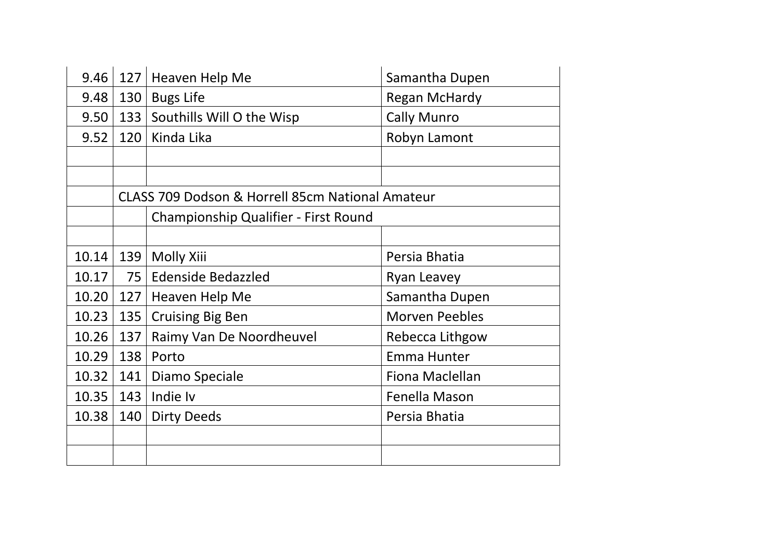| 9.46  | 127 | Heaven Help Me                                              | Samantha Dupen        |
|-------|-----|-------------------------------------------------------------|-----------------------|
| 9.48  | 130 | <b>Bugs Life</b>                                            | <b>Regan McHardy</b>  |
| 9.50  | 133 | Southills Will O the Wisp                                   | <b>Cally Munro</b>    |
| 9.52  | 120 | Kinda Lika                                                  | Robyn Lamont          |
|       |     |                                                             |                       |
|       |     |                                                             |                       |
|       |     | <b>CLASS 709 Dodson &amp; Horrell 85cm National Amateur</b> |                       |
|       |     | Championship Qualifier - First Round                        |                       |
|       |     |                                                             |                       |
| 10.14 | 139 | <b>Molly Xiii</b>                                           | Persia Bhatia         |
| 10.17 | 75  | <b>Edenside Bedazzled</b>                                   | Ryan Leavey           |
| 10.20 | 127 | Heaven Help Me                                              | Samantha Dupen        |
| 10.23 | 135 | <b>Cruising Big Ben</b>                                     | <b>Morven Peebles</b> |
| 10.26 | 137 | Raimy Van De Noordheuvel                                    | Rebecca Lithgow       |
| 10.29 | 138 | Porto                                                       | Emma Hunter           |
| 10.32 | 141 | Diamo Speciale                                              | Fiona Maclellan       |
| 10.35 | 143 | Indie Iv                                                    | Fenella Mason         |
| 10.38 | 140 | <b>Dirty Deeds</b>                                          | Persia Bhatia         |
|       |     |                                                             |                       |
|       |     |                                                             |                       |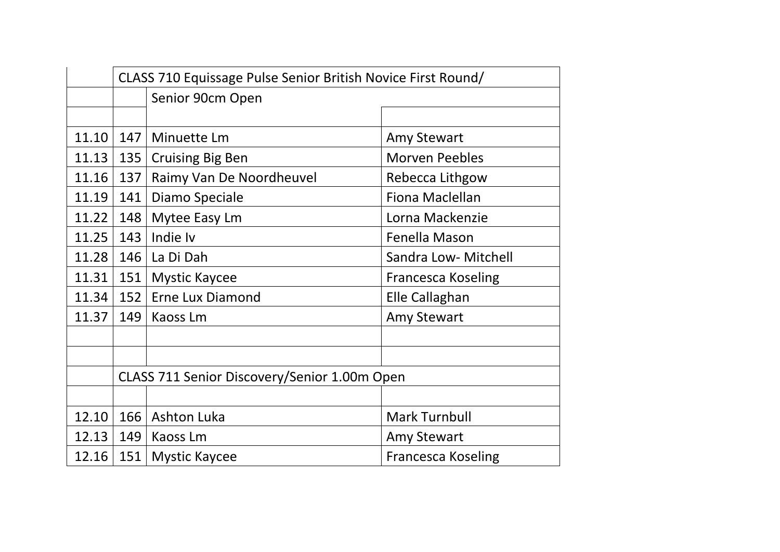|       | CLASS 710 Equissage Pulse Senior British Novice First Round/ |                                              |                           |  |
|-------|--------------------------------------------------------------|----------------------------------------------|---------------------------|--|
|       | Senior 90cm Open                                             |                                              |                           |  |
|       |                                                              |                                              |                           |  |
| 11.10 | 147                                                          | Minuette Lm                                  | <b>Amy Stewart</b>        |  |
| 11.13 | 135                                                          | <b>Cruising Big Ben</b>                      | <b>Morven Peebles</b>     |  |
| 11.16 | 137                                                          | Raimy Van De Noordheuvel                     | Rebecca Lithgow           |  |
| 11.19 | 141                                                          | Diamo Speciale                               | Fiona Maclellan           |  |
| 11.22 | 148                                                          | Mytee Easy Lm                                | Lorna Mackenzie           |  |
| 11.25 | 143                                                          | Indie Iv                                     | Fenella Mason             |  |
| 11.28 | 146                                                          | La Di Dah                                    | Sandra Low- Mitchell      |  |
| 11.31 | 151                                                          | <b>Mystic Kaycee</b>                         | <b>Francesca Koseling</b> |  |
| 11.34 | 152                                                          | <b>Erne Lux Diamond</b>                      | <b>Elle Callaghan</b>     |  |
| 11.37 | 149                                                          | Kaoss Lm                                     | <b>Amy Stewart</b>        |  |
|       |                                                              |                                              |                           |  |
|       |                                                              |                                              |                           |  |
|       |                                                              | CLASS 711 Senior Discovery/Senior 1.00m Open |                           |  |
|       |                                                              |                                              |                           |  |
| 12.10 | 166                                                          | <b>Ashton Luka</b>                           | <b>Mark Turnbull</b>      |  |
| 12.13 | 149                                                          | Kaoss Lm                                     | <b>Amy Stewart</b>        |  |
| 12.16 | 151                                                          | <b>Mystic Kaycee</b>                         | <b>Francesca Koseling</b> |  |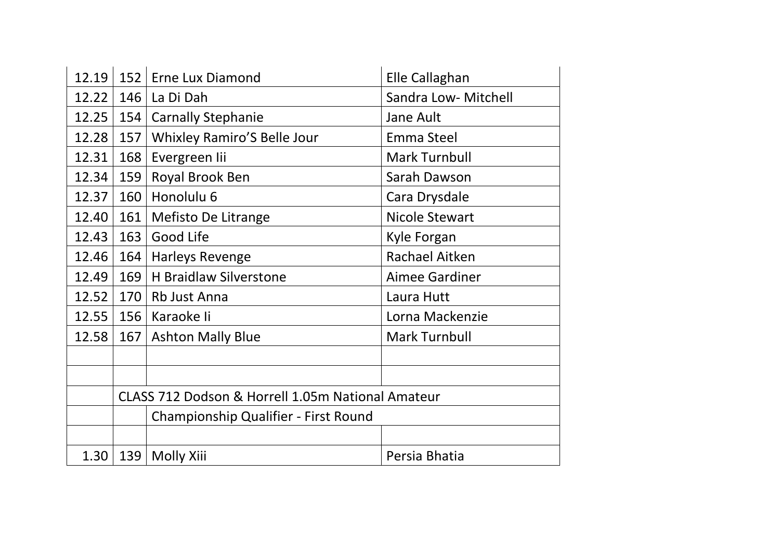| 12.19 | 152                                               | Erne Lux Diamond                     | <b>Elle Callaghan</b> |
|-------|---------------------------------------------------|--------------------------------------|-----------------------|
| 12.22 | 146                                               | La Di Dah                            | Sandra Low- Mitchell  |
| 12.25 | 154                                               | <b>Carnally Stephanie</b>            | Jane Ault             |
| 12.28 | 157                                               | Whixley Ramiro'S Belle Jour          | <b>Emma Steel</b>     |
| 12.31 | 168                                               | Evergreen lii                        | <b>Mark Turnbull</b>  |
| 12.34 | 159                                               | Royal Brook Ben                      | Sarah Dawson          |
| 12.37 | 160                                               | Honolulu 6                           | Cara Drysdale         |
| 12.40 | 161                                               | Mefisto De Litrange                  | <b>Nicole Stewart</b> |
| 12.43 | 163                                               | Good Life                            | Kyle Forgan           |
| 12.46 | 164                                               | <b>Harleys Revenge</b>               | Rachael Aitken        |
| 12.49 | 169                                               | <b>H Braidlaw Silverstone</b>        | Aimee Gardiner        |
| 12.52 | 170                                               | Rb Just Anna                         | Laura Hutt            |
| 12.55 | 156                                               | Karaoke li                           | Lorna Mackenzie       |
| 12.58 | 167                                               | <b>Ashton Mally Blue</b>             | <b>Mark Turnbull</b>  |
|       |                                                   |                                      |                       |
|       |                                                   |                                      |                       |
|       | CLASS 712 Dodson & Horrell 1.05m National Amateur |                                      |                       |
|       |                                                   | Championship Qualifier - First Round |                       |
|       |                                                   |                                      |                       |
| 1.30  | 139                                               | <b>Molly Xiii</b>                    | Persia Bhatia         |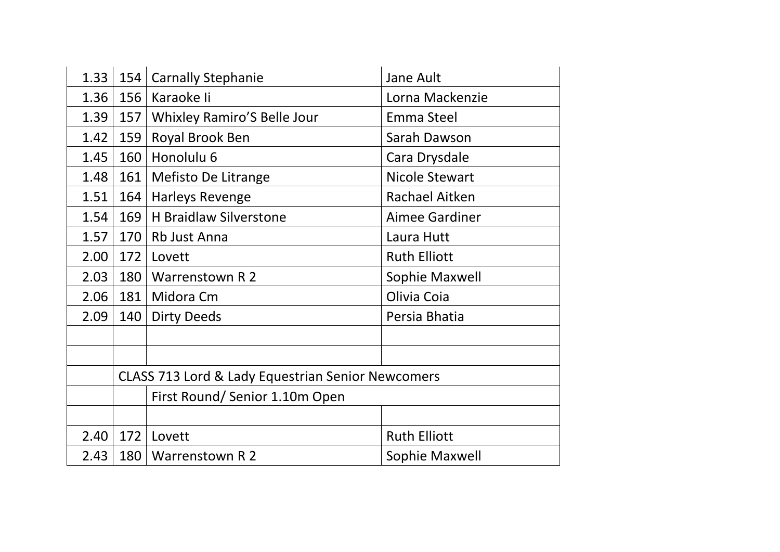| 1.33 | 154 | <b>Carnally Stephanie</b>                         | Jane Ault             |
|------|-----|---------------------------------------------------|-----------------------|
| 1.36 | 156 | Karaoke li                                        | Lorna Mackenzie       |
| 1.39 | 157 | Whixley Ramiro'S Belle Jour                       | Emma Steel            |
| 1.42 | 159 | Royal Brook Ben                                   | Sarah Dawson          |
| 1.45 | 160 | Honolulu 6                                        | Cara Drysdale         |
| 1.48 | 161 | Mefisto De Litrange                               | <b>Nicole Stewart</b> |
| 1.51 | 164 | <b>Harleys Revenge</b>                            | Rachael Aitken        |
| 1.54 | 169 | <b>H Braidlaw Silverstone</b>                     | Aimee Gardiner        |
| 1.57 | 170 | Rb Just Anna                                      | Laura Hutt            |
| 2.00 | 172 | Lovett                                            | <b>Ruth Elliott</b>   |
| 2.03 | 180 | Warrenstown R 2                                   | Sophie Maxwell        |
| 2.06 | 181 | Midora Cm                                         | Olivia Coia           |
| 2.09 | 140 | <b>Dirty Deeds</b>                                | Persia Bhatia         |
|      |     |                                                   |                       |
|      |     |                                                   |                       |
|      |     | CLASS 713 Lord & Lady Equestrian Senior Newcomers |                       |
|      |     | First Round/Senior 1.10m Open                     |                       |
|      |     |                                                   |                       |
| 2.40 | 172 | Lovett                                            | <b>Ruth Elliott</b>   |
| 2.43 |     | 180   Warrenstown R 2                             | Sophie Maxwell        |
|      |     |                                                   |                       |